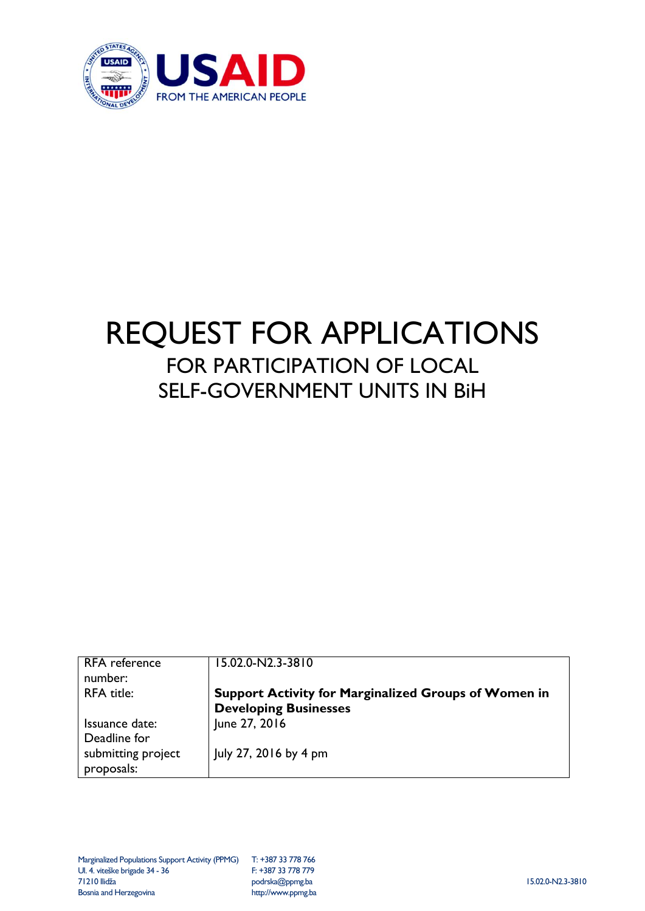

# REQUEST FOR APPLICATIONS FOR PARTICIPATION OF LOCAL SELF-GOVERNMENT UNITS IN BiH

| <b>RFA</b> reference | 15.02.0-N2.3-3810                                           |
|----------------------|-------------------------------------------------------------|
| number:              |                                                             |
| <b>RFA</b> title:    | <b>Support Activity for Marginalized Groups of Women in</b> |
|                      | <b>Developing Businesses</b>                                |
| Issuance date:       | June 27, 2016                                               |
| Deadline for         |                                                             |
| submitting project   | July 27, 2016 by 4 pm                                       |
| proposals:           |                                                             |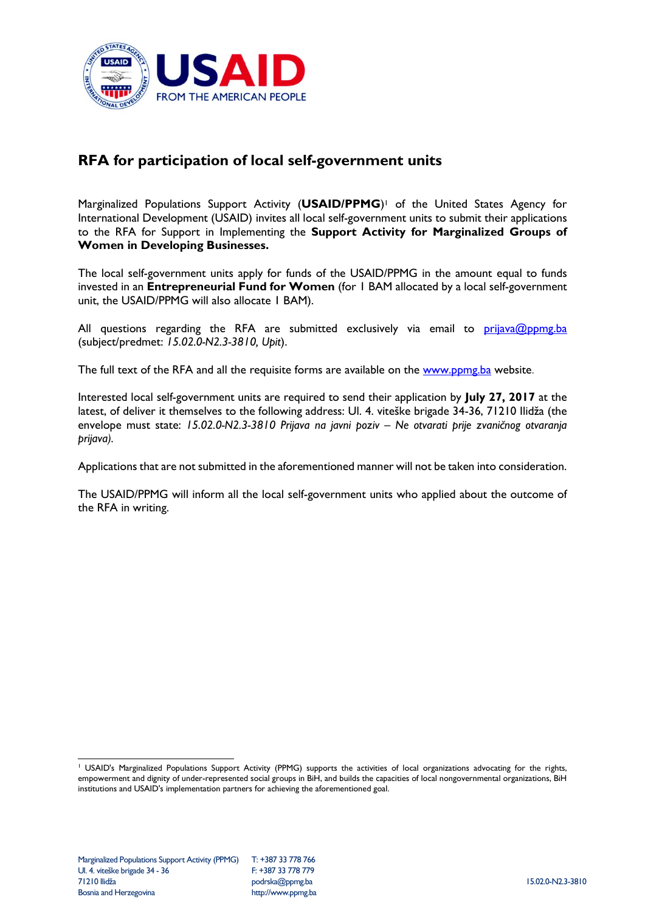

## **RFA for participation of local self-government units**

Marginalized Populations Support Activity (**USAID/PPMG**) <sup>1</sup> of the United States Agency for International Development (USAID) invites all local self-government units to submit their applications to the RFA for Support in Implementing the **Support Activity for Marginalized Groups of Women in Developing Businesses.**

The local self-government units apply for funds of the USAID/PPMG in the amount equal to funds invested in an **Entrepreneurial Fund for Women** (for 1 BAM allocated by a local self-government unit, the USAID/PPMG will also allocate 1 BAM).

All questions regarding the RFA are submitted exclusively via email to  $\frac{\text{prijava@ppmg}.ba}{\text{prijawa@ppmg}.ba}$ (subject/predmet: *15.02.0-N2.3-3810, Upit*).

The full text of the RFA and all the requisite forms are available on the [www.ppmg.ba](http://www.ppmg.ba/) website.

Interested local self-government units are required to send their application by **July 27, 2017** at the latest, of deliver it themselves to the following address: Ul. 4. viteške brigade 34-36, 71210 Ilidža (the envelope must state: *15.02.0-N2.3-3810 Prijava na javni poziv – Ne otvarati prije zvaničnog otvaranja prijava).*

Applications that are not submitted in the aforementioned manner will not be taken into consideration.

The USAID/PPMG will inform all the local self-government units who applied about the outcome of the RFA in writing.

<sup>-</sup><sup>1</sup> USAID's Marginalized Populations Support Activity (PPMG) supports the activities of local organizations advocating for the rights, empowerment and dignity of under-represented social groups in BiH, and builds the capacities of local nongovernmental organizations, BiH institutions and USAID's implementation partners for achieving the aforementioned goal.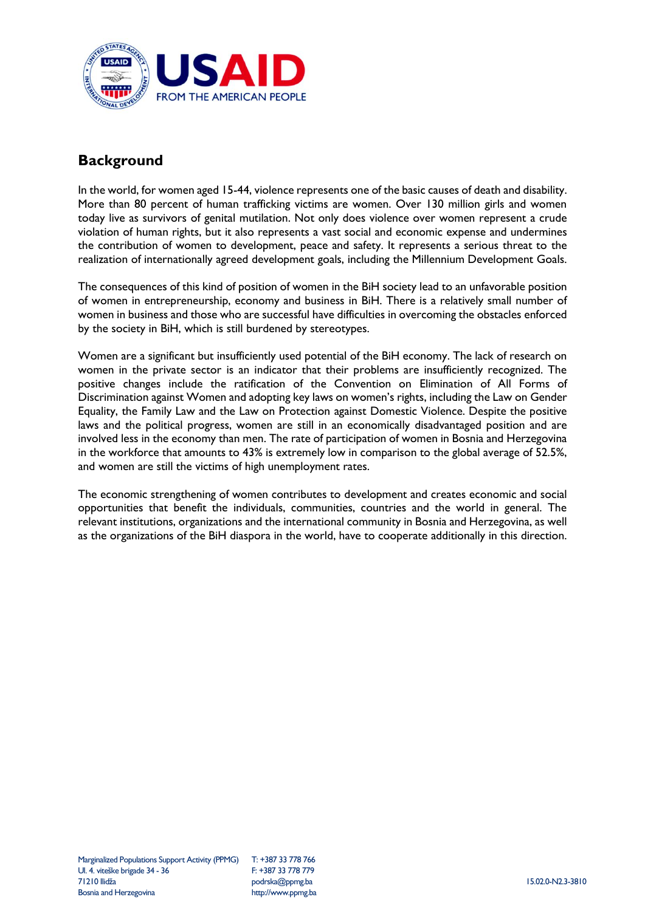

### **Background**

In the world, for women aged 15-44, violence represents one of the basic causes of death and disability. More than 80 percent of human trafficking victims are women. Over 130 million girls and women today live as survivors of genital mutilation. Not only does violence over women represent a crude violation of human rights, but it also represents a vast social and economic expense and undermines the contribution of women to development, peace and safety. It represents a serious threat to the realization of internationally agreed development goals, including the Millennium Development Goals.

The consequences of this kind of position of women in the BiH society lead to an unfavorable position of women in entrepreneurship, economy and business in BiH. There is a relatively small number of women in business and those who are successful have difficulties in overcoming the obstacles enforced by the society in BiH, which is still burdened by stereotypes.

Women are a significant but insufficiently used potential of the BiH economy. The lack of research on women in the private sector is an indicator that their problems are insufficiently recognized. The positive changes include the ratification of the Convention on Elimination of All Forms of Discrimination against Women and adopting key laws on women's rights, including the Law on Gender Equality, the Family Law and the Law on Protection against Domestic Violence. Despite the positive laws and the political progress, women are still in an economically disadvantaged position and are involved less in the economy than men. The rate of participation of women in Bosnia and Herzegovina in the workforce that amounts to 43% is extremely low in comparison to the global average of 52.5%, and women are still the victims of high unemployment rates.

The economic strengthening of women contributes to development and creates economic and social opportunities that benefit the individuals, communities, countries and the world in general. The relevant institutions, organizations and the international community in Bosnia and Herzegovina, as well as the organizations of the BiH diaspora in the world, have to cooperate additionally in this direction.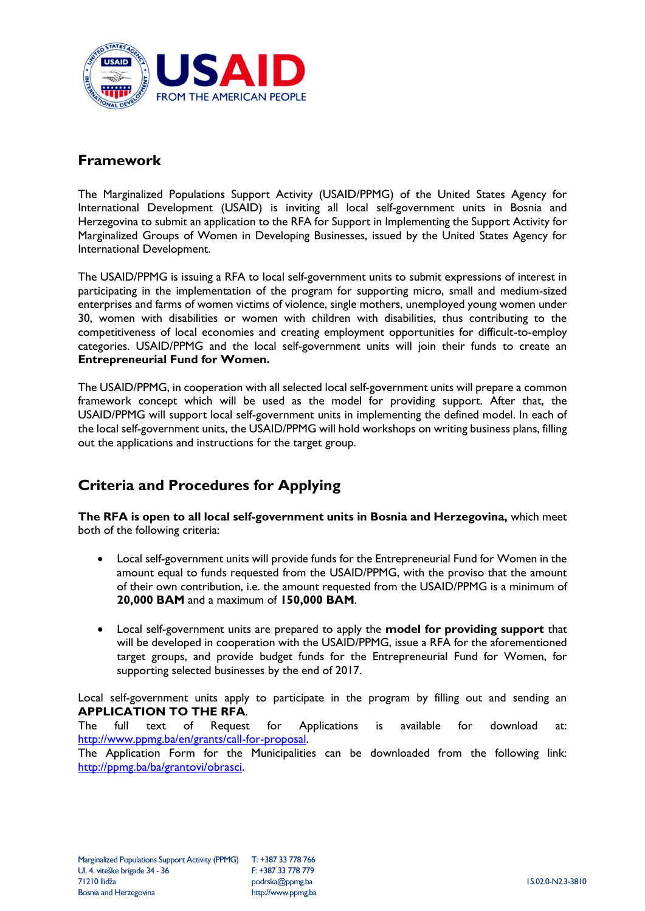

#### **Framework**

The Marginalized Populations Support Activity (USAID/PPMG) of the United States Agency for International Development (USAID) is inviting all local self-government units in Bosnia and Herzegovina to submit an application to the RFA for Support in Implementing the Support Activity for Marginalized Groups of Women in Developing Businesses, issued by the United States Agency for International Development.

The USAID/PPMG is issuing a RFA to local self-government units to submit expressions of interest in participating in the implementation of the program for supporting micro, small and medium-sized enterprises and farms of women victims of violence, single mothers, unemployed young women under 30, women with disabilities or women with children with disabilities, thus contributing to the competitiveness of local economies and creating employment opportunities for difficult-to-employ categories. USAID/PPMG and the local self-government units will join their funds to create an **Entrepreneurial Fund for Women.**

The USAID/PPMG, in cooperation with all selected local self-government units will prepare a common framework concept which will be used as the model for providing support. After that, the USAID/PPMG will support local self-government units in implementing the defined model. In each of the local self-government units, the USAID/PPMG will hold workshops on writing business plans, filling out the applications and instructions for the target group.

## **Criteria and Procedures for Applying**

**The RFA is open to all local self-government units in Bosnia and Herzegovina,** which meet both of the following criteria:

- Local self-government units will provide funds for the Entrepreneurial Fund for Women in the amount equal to funds requested from the USAID/PPMG, with the proviso that the amount of their own contribution, i.e. the amount requested from the USAID/PPMG is a minimum of **20,000 BAM** and a maximum of **150,000 BAM**.
- Local self-government units are prepared to apply the **model for providing support** that will be developed in cooperation with the USAID/PPMG, issue a RFA for the aforementioned target groups, and provide budget funds for the Entrepreneurial Fund for Women, for supporting selected businesses by the end of 2017.

Local self-government units apply to participate in the program by filling out and sending an **APPLICATION TO THE RFA**.

The full text of Request for Applications is available for download at: [http://www.ppmg.ba/en/grants/call-for-proposal.](http://www.ppmg.ba/en/grants/call-for-proposal)

The Application Form for the Municipalities can be downloaded from the following link: [http://ppmg.ba/ba/grantovi/obrasci.](http://ppmg.ba/ba/grantovi/obrasci)